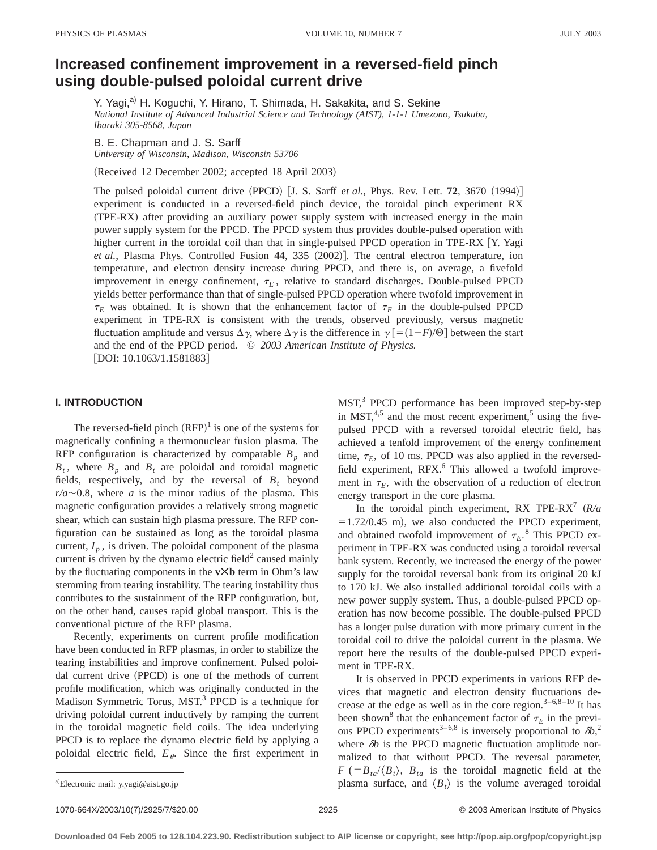# **Increased confinement improvement in a reversed-field pinch using double-pulsed poloidal current drive**

Y. Yagi,<sup>a)</sup> H. Koguchi, Y. Hirano, T. Shimada, H. Sakakita, and S. Sekine *National Institute of Advanced Industrial Science and Technology (AIST), 1-1-1 Umezono, Tsukuba, Ibaraki 305-8568, Japan*

B. E. Chapman and J. S. Sarff *University of Wisconsin, Madison, Wisconsin 53706*

(Received 12 December 2002; accepted 18 April 2003)

The pulsed poloidal current drive  $(PPCD)$  [J. S. Sarff *et al.*, Phys. Rev. Lett. **72**, 3670  $(1994)$ ] experiment is conducted in a reversed-field pinch device, the toroidal pinch experiment RX ~TPE-RX! after providing an auxiliary power supply system with increased energy in the main power supply system for the PPCD. The PPCD system thus provides double-pulsed operation with higher current in the toroidal coil than that in single-pulsed PPCD operation in TPE-RX  $[Y.$  Yagi *et al.*, Plasma Phys. Controlled Fusion 44, 335 (2002)]. The central electron temperature, ion temperature, and electron density increase during PPCD, and there is, on average, a fivefold improvement in energy confinement,  $\tau_E$ , relative to standard discharges. Double-pulsed PPCD yields better performance than that of single-pulsed PPCD operation where twofold improvement in  $\tau_E$  was obtained. It is shown that the enhancement factor of  $\tau_E$  in the double-pulsed PPCD experiment in TPE-RX is consistent with the trends, observed previously, versus magnetic fluctuation amplitude and versus  $\Delta \gamma$ , where  $\Delta \gamma$  is the difference in  $\gamma$  [=(1-*F*)/ $\Theta$ ] between the start and the end of the PPCD period. © *2003 American Institute of Physics.*

 $[$ DOI: 10.1063/1.1581883 $]$ 

### **I. INTRODUCTION**

The reversed-field pinch  $(RFP)^1$  is one of the systems for magnetically confining a thermonuclear fusion plasma. The RFP configuration is characterized by comparable  $B_p$  and  $B_t$ , where  $B_p$  and  $B_t$  are poloidal and toroidal magnetic fields, respectively, and by the reversal of  $B_t$  beyond  $r/a \sim 0.8$ , where *a* is the minor radius of the plasma. This magnetic configuration provides a relatively strong magnetic shear, which can sustain high plasma pressure. The RFP configuration can be sustained as long as the toroidal plasma current,  $I_n$ , is driven. The poloidal component of the plasma current is driven by the dynamo electric field<sup>2</sup> caused mainly by the fluctuating components in the **vÃb** term in Ohm's law stemming from tearing instability. The tearing instability thus contributes to the sustainment of the RFP configuration, but, on the other hand, causes rapid global transport. This is the conventional picture of the RFP plasma.

Recently, experiments on current profile modification have been conducted in RFP plasmas, in order to stabilize the tearing instabilities and improve confinement. Pulsed poloidal current drive (PPCD) is one of the methods of current profile modification, which was originally conducted in the Madison Symmetric Torus, MST.<sup>3</sup> PPCD is a technique for driving poloidal current inductively by ramping the current in the toroidal magnetic field coils. The idea underlying PPCD is to replace the dynamo electric field by applying a poloidal electric field,  $E_{\theta}$ . Since the first experiment in  $MST<sup>3</sup>$  PPCD performance has been improved step-by-step in MST, $4.5$  and the most recent experiment, $5$  using the fivepulsed PPCD with a reversed toroidal electric field, has achieved a tenfold improvement of the energy confinement time,  $\tau_F$ , of 10 ms. PPCD was also applied in the reversedfield experiment, RFX.<sup>6</sup> This allowed a twofold improvement in  $\tau_E$ , with the observation of a reduction of electron energy transport in the core plasma.

In the toroidal pinch experiment, RX TPE-RX<sup>7</sup>  $(R/a)$  $=1.72/0.45$  m), we also conducted the PPCD experiment, and obtained twofold improvement of  $\tau_E$ .<sup>8</sup> This PPCD experiment in TPE-RX was conducted using a toroidal reversal bank system. Recently, we increased the energy of the power supply for the toroidal reversal bank from its original 20 kJ to 170 kJ. We also installed additional toroidal coils with a new power supply system. Thus, a double-pulsed PPCD operation has now become possible. The double-pulsed PPCD has a longer pulse duration with more primary current in the toroidal coil to drive the poloidal current in the plasma. We report here the results of the double-pulsed PPCD experiment in TPE-RX.

It is observed in PPCD experiments in various RFP devices that magnetic and electron density fluctuations decrease at the edge as well as in the core region. $3-6,8-10$  It has been shown<sup>8</sup> that the enhancement factor of  $\tau_E$  in the previous PPCD experiments<sup>3–6,8</sup> is inversely proportional to  $\delta b$ <sup>2</sup>, where  $\delta b$  is the PPCD magnetic fluctuation amplitude normalized to that without PPCD. The reversal parameter,  $F$  (= $B_{ta}/\langle B_t \rangle$ ,  $B_{ta}$  is the toroidal magnetic field at the plasma surface, and  $\langle B_t \rangle$  is the volume averaged toroidal

1070-664X/2003/10(7)/2925/7/\$20.00 © 2003 American Institute of Physics 2925

Electronic mail: y.yagi@aist.go.jp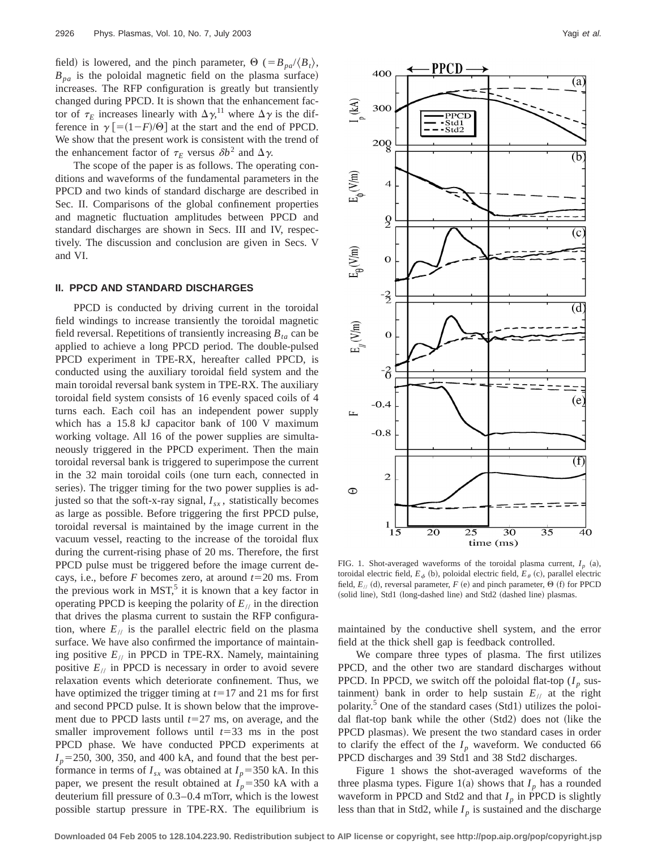field) is lowered, and the pinch parameter,  $\Theta$  (= $B_{pa}/\langle B_t \rangle$ ,  $B_{pa}$  is the poloidal magnetic field on the plasma surface) increases. The RFP configuration is greatly but transiently changed during PPCD. It is shown that the enhancement factor of  $\tau_E$  increases linearly with  $\Delta \gamma$ ,<sup>11</sup> where  $\Delta \gamma$  is the difference in  $\gamma$  [=(1-*F*)/ $\Theta$ ] at the start and the end of PPCD. We show that the present work is consistent with the trend of the enhancement factor of  $\tau_E$  versus  $\delta b^2$  and  $\Delta \gamma$ .

The scope of the paper is as follows. The operating conditions and waveforms of the fundamental parameters in the PPCD and two kinds of standard discharge are described in Sec. II. Comparisons of the global confinement properties and magnetic fluctuation amplitudes between PPCD and standard discharges are shown in Secs. III and IV, respectively. The discussion and conclusion are given in Secs. V and VI.

#### **II. PPCD AND STANDARD DISCHARGES**

PPCD is conducted by driving current in the toroidal field windings to increase transiently the toroidal magnetic field reversal. Repetitions of transiently increasing  $B_{ta}$  can be applied to achieve a long PPCD period. The double-pulsed PPCD experiment in TPE-RX, hereafter called PPCD, is conducted using the auxiliary toroidal field system and the main toroidal reversal bank system in TPE-RX. The auxiliary toroidal field system consists of 16 evenly spaced coils of 4 turns each. Each coil has an independent power supply which has a 15.8 kJ capacitor bank of 100 V maximum working voltage. All 16 of the power supplies are simultaneously triggered in the PPCD experiment. Then the main toroidal reversal bank is triggered to superimpose the current in the 32 main toroidal coils (one turn each, connected in series). The trigger timing for the two power supplies is adjusted so that the soft-x-ray signal,  $I_{sx}$ , statistically becomes as large as possible. Before triggering the first PPCD pulse, toroidal reversal is maintained by the image current in the vacuum vessel, reacting to the increase of the toroidal flux during the current-rising phase of 20 ms. Therefore, the first PPCD pulse must be triggered before the image current decays, i.e., before  $F$  becomes zero, at around  $t=20$  ms. From the previous work in  $MST$ ,<sup>5</sup> it is known that a key factor in operating PPCD is keeping the polarity of  $E_{\ell}$  in the direction that drives the plasma current to sustain the RFP configuration, where  $E_{\ell}$  is the parallel electric field on the plasma surface. We have also confirmed the importance of maintaining positive *E*// in PPCD in TPE-RX. Namely, maintaining positive  $E_{\ell}$  in PPCD is necessary in order to avoid severe relaxation events which deteriorate confinement. Thus, we have optimized the trigger timing at  $t=17$  and 21 ms for first and second PPCD pulse. It is shown below that the improvement due to PPCD lasts until  $t=27$  ms, on average, and the smaller improvement follows until  $t=33$  ms in the post PPCD phase. We have conducted PPCD experiments at  $I_p$ =250, 300, 350, and 400 kA, and found that the best performance in terms of  $I_{sx}$  was obtained at  $I_p$ =350 kA. In this paper, we present the result obtained at  $I_p$ =350 kA with a deuterium fill pressure of 0.3–0.4 mTorr, which is the lowest possible startup pressure in TPE-RX. The equilibrium is



FIG. 1. Shot-averaged waveforms of the toroidal plasma current,  $I_p$  (a), toroidal electric field,  $E_{\phi}$  (b), poloidal electric field,  $E_{\theta}$  (c), parallel electric field,  $E_{//}$  (d), reversal parameter,  $F$  (e) and pinch parameter,  $\Theta$  (f) for PPCD (solid line), Std1 (long-dashed line) and Std2 (dashed line) plasmas.

maintained by the conductive shell system, and the error field at the thick shell gap is feedback controlled.

We compare three types of plasma. The first utilizes PPCD, and the other two are standard discharges without PPCD. In PPCD, we switch off the poloidal flat-top  $(I_p$  sustainment) bank in order to help sustain  $E_{\ell}$  at the right polarity. $5$  One of the standard cases (Std1) utilizes the poloidal flat-top bank while the other (Std2) does not (like the PPCD plasmas). We present the two standard cases in order to clarify the effect of the  $I_p$  waveform. We conducted 66 PPCD discharges and 39 Std1 and 38 Std2 discharges.

Figure 1 shows the shot-averaged waveforms of the three plasma types. Figure 1(a) shows that  $I_p$  has a rounded waveform in PPCD and Std2 and that  $I_p$  in PPCD is slightly less than that in Std2, while  $I_p$  is sustained and the discharge

**Downloaded 04 Feb 2005 to 128.104.223.90. Redistribution subject to AIP license or copyright, see http://pop.aip.org/pop/copyright.jsp**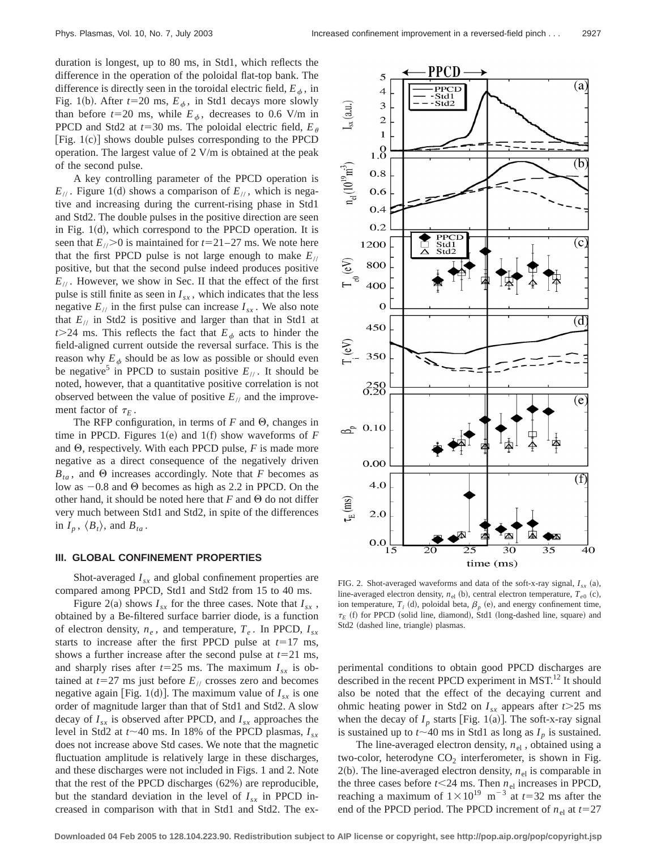duration is longest, up to 80 ms, in Std1, which reflects the difference in the operation of the poloidal flat-top bank. The difference is directly seen in the toroidal electric field,  $E_{\phi}$ , in Fig. 1(b). After  $t=20$  ms,  $E_{\phi}$ , in Std1 decays more slowly than before  $t=20$  ms, while  $E_{\phi}$ , decreases to 0.6 V/m in PPCD and Std2 at  $t=30$  ms. The poloidal electric field,  $E_{\theta}$ [Fig.  $1(c)$ ] shows double pulses corresponding to the PPCD operation. The largest value of 2 V/m is obtained at the peak of the second pulse.

A key controlling parameter of the PPCD operation is  $E_{\ell\ell}$ . Figure 1(d) shows a comparison of  $E_{\ell\ell}$ , which is negative and increasing during the current-rising phase in Std1 and Std2. The double pulses in the positive direction are seen in Fig.  $1(d)$ , which correspond to the PPCD operation. It is seen that  $E_{\ell}$ . is maintained for  $t=21-27$  ms. We note here that the first PPCD pulse is not large enough to make  $E_{\ell}$ positive, but that the second pulse indeed produces positive  $E_{\ell\ell}$ . However, we show in Sec. II that the effect of the first pulse is still finite as seen in  $I_{sx}$ , which indicates that the less negative  $E_{\ell}$  in the first pulse can increase  $I_{sx}$ . We also note that  $E_{\text{II}}$  in Std2 is positive and larger than that in Std1 at  $t > 24$  ms. This reflects the fact that  $E_{\phi}$  acts to hinder the field-aligned current outside the reversal surface. This is the reason why  $E_{\phi}$  should be as low as possible or should even be negative<sup>5</sup> in PPCD to sustain positive  $E_{\ell}$ . It should be noted, however, that a quantitative positive correlation is not observed between the value of positive  $E_{\ell}$  and the improvement factor of  $\tau_F$ .

The RFP configuration, in terms of  $F$  and  $\Theta$ , changes in time in PPCD. Figures 1 $(e)$  and 1 $(f)$  show waveforms of *F* and  $\Theta$ , respectively. With each PPCD pulse, *F* is made more negative as a direct consequence of the negatively driven  $B_{ta}$ , and  $\Theta$  increases accordingly. Note that *F* becomes as low as  $-0.8$  and  $\Theta$  becomes as high as 2.2 in PPCD. On the other hand, it should be noted here that  $F$  and  $\Theta$  do not differ very much between Std1 and Std2, in spite of the differences in  $I_p$ ,  $\langle B_t \rangle$ , and  $B_{ta}$ .

#### **III. GLOBAL CONFINEMENT PROPERTIES**

Shot-averaged  $I_{sx}$  and global confinement properties are compared among PPCD, Std1 and Std2 from 15 to 40 ms.

Figure 2(a) shows  $I_{sx}$  for the three cases. Note that  $I_{sx}$ , obtained by a Be-filtered surface barrier diode, is a function of electron density,  $n_e$ , and temperature,  $T_e$ . In PPCD,  $I_{sx}$ starts to increase after the first PPCD pulse at  $t=17$  ms, shows a further increase after the second pulse at  $t=21$  ms, and sharply rises after  $t=25$  ms. The maximum  $I_{sx}$  is obtained at  $t=27$  ms just before  $E_{\text{II}}$  crosses zero and becomes negative again [Fig. 1(d)]. The maximum value of  $I_{sx}$  is one order of magnitude larger than that of Std1 and Std2. A slow decay of *Isx* is observed after PPCD, and *Isx* approaches the level in Std2 at  $t \sim 40$  ms. In 18% of the PPCD plasmas,  $I_{sx}$ does not increase above Std cases. We note that the magnetic fluctuation amplitude is relatively large in these discharges, and these discharges were not included in Figs. 1 and 2. Note that the rest of the PPCD discharges  $(62%)$  are reproducible, but the standard deviation in the level of  $I_{sx}$  in PPCD increased in comparison with that in Std1 and Std2. The ex-



FIG. 2. Shot-averaged waveforms and data of the soft-x-ray signal,  $I_{sx}$  (a), line-averaged electron density,  $n_{el}$  (b), central electron temperature,  $T_{e0}$  (c), ion temperature,  $T_i$  (d), poloidal beta,  $\beta_p$  (e), and energy confinement time,  $\tau_E$  (f) for PPCD (solid line, diamond), Std1 (long-dashed line, square) and Std2 (dashed line, triangle) plasmas.

perimental conditions to obtain good PPCD discharges are described in the recent PPCD experiment in MST.<sup>12</sup> It should also be noted that the effect of the decaying current and ohmic heating power in Std2 on  $I_{sx}$  appears after  $t > 25$  ms when the decay of  $I_p$  starts [Fig. 1(a)]. The soft-x-ray signal is sustained up to  $t \sim 40$  ms in Std1 as long as  $I_p$  is sustained.

The line-averaged electron density,  $n_{el}$ , obtained using a two-color, heterodyne  $CO<sub>2</sub>$  interferometer, is shown in Fig. 2(b). The line-averaged electron density,  $n_{el}$  is comparable in the three cases before  $t < 24$  ms. Then  $n_{el}$  increases in PPCD, reaching a maximum of  $1 \times 10^{19}$  m<sup>-3</sup> at *t*=32 ms after the end of the PPCD period. The PPCD increment of  $n_{el}$  at  $t=27$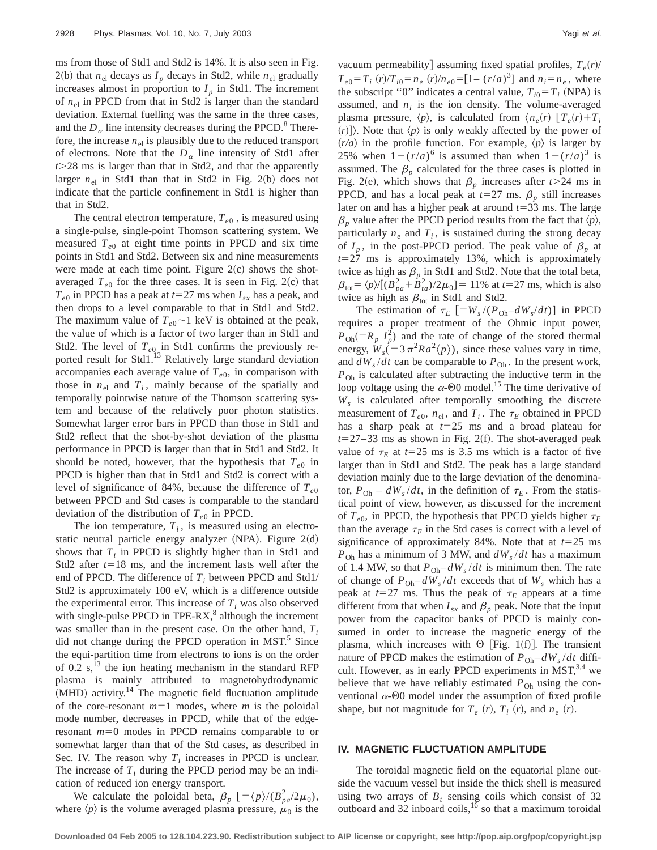ms from those of Std1 and Std2 is 14%. It is also seen in Fig. 2(b) that  $n_{el}$  decays as  $I_p$  decays in Std2, while  $n_{el}$  gradually increases almost in proportion to  $I_p$  in Std1. The increment of  $n<sub>el</sub>$  in PPCD from that in Std2 is larger than the standard deviation. External fuelling was the same in the three cases, and the  $D_{\alpha}$  line intensity decreases during the PPCD.<sup>8</sup> Therefore, the increase  $n<sub>el</sub>$  is plausibly due to the reduced transport of electrons. Note that the  $D_{\alpha}$  line intensity of Std1 after *t*.28 ms is larger than that in Std2, and that the apparently larger  $n_{el}$  in Std1 than that in Std2 in Fig. 2(b) does not indicate that the particle confinement in Std1 is higher than that in Std2.

The central electron temperature,  $T_{e0}$ , is measured using a single-pulse, single-point Thomson scattering system. We measured  $T_{e0}$  at eight time points in PPCD and six time points in Std1 and Std2. Between six and nine measurements were made at each time point. Figure  $2(c)$  shows the shotaveraged  $T_{e0}$  for the three cases. It is seen in Fig. 2(c) that  $T_{e0}$  in PPCD has a peak at  $t=27$  ms when  $I_{sx}$  has a peak, and then drops to a level comparable to that in Std1 and Std2. The maximum value of  $T_{e0}$  ~1 keV is obtained at the peak, the value of which is a factor of two larger than in Std1 and Std2. The level of  $T_{e0}$  in Std1 confirms the previously reported result for Std1.<sup>13</sup> Relatively large standard deviation accompanies each average value of  $T_{e0}$ , in comparison with those in  $n_{el}$  and  $T_i$ , mainly because of the spatially and temporally pointwise nature of the Thomson scattering system and because of the relatively poor photon statistics. Somewhat larger error bars in PPCD than those in Std1 and Std2 reflect that the shot-by-shot deviation of the plasma performance in PPCD is larger than that in Std1 and Std2. It should be noted, however, that the hypothesis that  $T_{e0}$  in PPCD is higher than that in Std1 and Std2 is correct with a level of significance of 84%, because the difference of  $T_{e0}$ between PPCD and Std cases is comparable to the standard deviation of the distribution of  $T_{e0}$  in PPCD.

The ion temperature,  $T_i$ , is measured using an electrostatic neutral particle energy analyzer (NPA). Figure  $2(d)$ shows that *T<sub>i</sub>* in PPCD is slightly higher than in Std1 and Std2 after  $t=18$  ms, and the increment lasts well after the end of PPCD. The difference of  $T_i$  between PPCD and Std1/ Std2 is approximately 100 eV, which is a difference outside the experimental error. This increase of  $T_i$  was also observed with single-pulse PPCD in TPE-RX $<sup>8</sup>$  although the increment</sup> was smaller than in the present case. On the other hand,  $T_i$ did not change during the PPCD operation in MST.<sup>5</sup> Since the equi-partition time from electrons to ions is on the order of 0.2  $s$ ,<sup>13</sup> the ion heating mechanism in the standard RFP plasma is mainly attributed to magnetohydrodynamic  $(MHD)$  activity.<sup>14</sup> The magnetic field fluctuation amplitude of the core-resonant  $m=1$  modes, where  $m$  is the poloidal mode number, decreases in PPCD, while that of the edgeresonant  $m=0$  modes in PPCD remains comparable to or somewhat larger than that of the Std cases, as described in Sec. IV. The reason why  $T_i$  increases in PPCD is unclear. The increase of  $T_i$  during the PPCD period may be an indication of reduced ion energy transport.

We calculate the poloidal beta,  $\beta_p$   $[=\langle p \rangle / (B_{pa}^2 /2\mu_0)$ , where  $\langle p \rangle$  is the volume averaged plasma pressure,  $\mu_0$  is the vacuum permeability] assuming fixed spatial profiles,  $T_e(r)$ /  $T_{e0} = T_i$  (*r*)/ $T_{i0} = n_e$  (*r*)/ $n_{e0} = [1 - (r/a)^3]$  and  $n_i = n_e$ , where the subscript "0" indicates a central value,  $T_{i0} = T_i$  (NPA) is assumed, and  $n_i$  is the ion density. The volume-averaged plasma pressure,  $\langle p \rangle$ , is calculated from  $\langle n_e(r) | T_e(r) + T_i$  $(r)$ ). Note that  $\langle p \rangle$  is only weakly affected by the power of  $(r/a)$  in the profile function. For example,  $\langle p \rangle$  is larger by 25% when  $1-(r/a)^6$  is assumed than when  $1-(r/a)^3$  is assumed. The  $\beta_p$  calculated for the three cases is plotted in Fig. 2(e), which shows that  $\beta_p$  increases after *t*>24 ms in PPCD, and has a local peak at  $t=27$  ms.  $\beta_p$  still increases later on and has a higher peak at around  $t=33$  ms. The large  $\beta$ <sub>*p*</sub> value after the PPCD period results from the fact that  $\langle p \rangle$ , particularly  $n_e$  and  $T_i$ , is sustained during the strong decay of  $I_p$ , in the post-PPCD period. The peak value of  $\beta_p$  at  $t=27$  ms is approximately 13%, which is approximately twice as high as  $\beta_p$  in Std1 and Std2. Note that the total beta,  $\beta_{\text{tot}} = \langle p \rangle / [(B_{pa}^2 + B_{ta}^2)/2\mu_0] = 11\%$  at *t*=27 ms, which is also twice as high as  $\beta_{\text{tot}}$  in Std1 and Std2.

The estimation of  $\tau_E$  [=W<sub>s</sub>/( $P_{\text{Oh}}$ – $dW_s/dt$ )] in PPCD requires a proper treatment of the Ohmic input power,  $P_{\text{Oh}}(=R_p I_p^2)$  and the rate of change of the stored thermal energy,  $W_s (= 3 \pi^2 Ra^2 \langle p \rangle)$ , since these values vary in time, and  $dW_s/dt$  can be comparable to  $P_{\text{Oh}}$ . In the present work, *P*<sub>Oh</sub> is calculated after subtracting the inductive term in the loop voltage using the  $\alpha$ - $\Theta$ 0 model.<sup>15</sup> The time derivative of *Ws* is calculated after temporally smoothing the discrete measurement of  $T_{e0}$ ,  $n_{el}$ , and  $T_i$ . The  $\tau_E$  obtained in PPCD has a sharp peak at  $t=25$  ms and a broad plateau for  $t=27-33$  ms as shown in Fig. 2(f). The shot-averaged peak value of  $\tau_E$  at  $t=25$  ms is 3.5 ms which is a factor of five larger than in Std1 and Std2. The peak has a large standard deviation mainly due to the large deviation of the denominator,  $P_{\text{Oh}} - dW_s/dt$ , in the definition of  $\tau_E$ . From the statistical point of view, however, as discussed for the increment of  $T_{e0}$ , in PPCD, the hypothesis that PPCD yields higher  $\tau_E$ than the average  $\tau_F$  in the Std cases is correct with a level of significance of approximately 84%. Note that at  $t=25$  ms  $P_{\text{Oh}}$  has a minimum of 3 MW, and  $dW_s/dt$  has a maximum of 1.4 MW, so that  $P_{\text{Oh}} - dW_s/dt$  is minimum then. The rate of change of  $P_{\text{Oh}}-dW_s/dt$  exceeds that of  $W_s$  which has a peak at  $t=27$  ms. Thus the peak of  $\tau_E$  appears at a time different from that when  $I_{sx}$  and  $\beta_p$  peak. Note that the input power from the capacitor banks of PPCD is mainly consumed in order to increase the magnetic energy of the plasma, which increases with  $\Theta$  [Fig. 1(f)]. The transient nature of PPCD makes the estimation of  $P_{\text{Oh}}-dW_s/dt$  difficult. However, as in early PPCD experiments in MST, $3,4$  we believe that we have reliably estimated  $P_{\text{Oh}}$  using the conventional  $\alpha$ - $\Theta$ 0 model under the assumption of fixed profile shape, but not magnitude for  $T_e$  (*r*),  $T_i$  (*r*), and  $n_e$  (*r*).

## **IV. MAGNETIC FLUCTUATION AMPLITUDE**

The toroidal magnetic field on the equatorial plane outside the vacuum vessel but inside the thick shell is measured using two arrays of  $B_t$  sensing coils which consist of 32 outboard and  $32$  inboard coils,<sup>16</sup> so that a maximum toroidal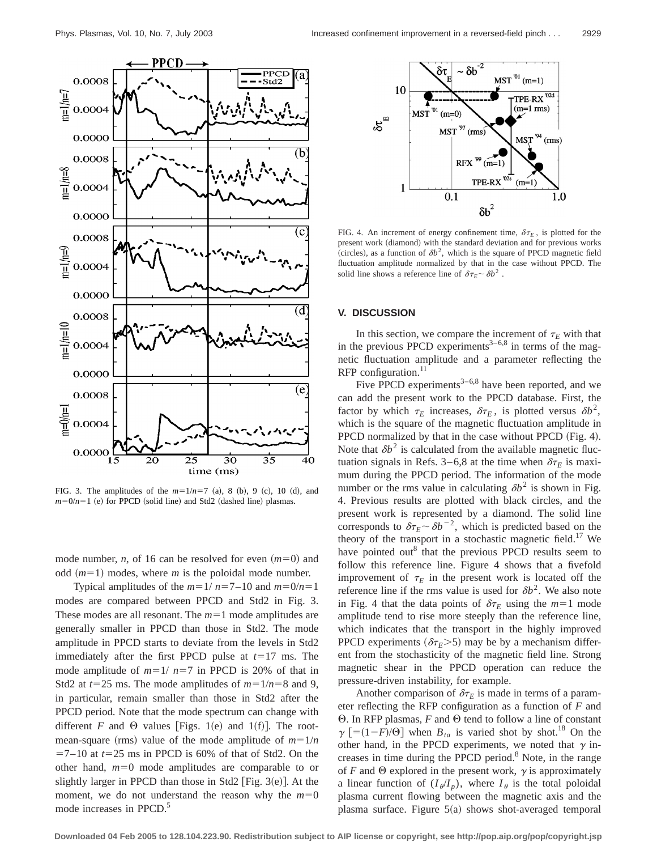**PPCD** PPCE 0.0008  $-<sub>Std2</sub>$  $\frac{1}{4}$  0.0004 0.0000 0.0008  $\frac{20}{\pi}$  0.0004 0.0000 (c 0.0008  $\frac{1}{\sqrt{2}}$  0.0004 0.0000 ά 0.0008  $\frac{10}{\frac{11}{2}}$  0.0004 0.0000  $\overline{\rm(e)}$ 0.0008  $1 = 0$ 0.0004 0.0000  $\overline{30}$  $\overline{35}$ 25 40

FIG. 3. The amplitudes of the  $m=1/n=7$  (a), 8 (b), 9 (c), 10 (d), and  $m=0/n=1$  (e) for PPCD (solid line) and Std2 (dashed line) plasmas.

time (ms)

mode number, *n*, of 16 can be resolved for even  $(m=0)$  and odd  $(m=1)$  modes, where *m* is the poloidal mode number.

Typical amplitudes of the  $m=1/n=7-10$  and  $m=0/n=1$ modes are compared between PPCD and Std2 in Fig. 3. These modes are all resonant. The  $m=1$  mode amplitudes are generally smaller in PPCD than those in Std2. The mode amplitude in PPCD starts to deviate from the levels in Std2 immediately after the first PPCD pulse at  $t=17$  ms. The mode amplitude of  $m=1/ n=7$  in PPCD is 20% of that in Std2 at  $t=25$  ms. The mode amplitudes of  $m=1/n=8$  and 9, in particular, remain smaller than those in Std2 after the PPCD period. Note that the mode spectrum can change with different *F* and  $\Theta$  values [Figs. 1(e) and 1(f)]. The rootmean-square (rms) value of the mode amplitude of  $m=1/n$  $=7-10$  at  $t=25$  ms in PPCD is 60% of that of Std2. On the other hand,  $m=0$  mode amplitudes are comparable to or slightly larger in PPCD than those in Std2  $[Fig. 3(e)]$ . At the moment, we do not understand the reason why the  $m=0$ mode increases in PPCD.<sup>5</sup>



FIG. 4. An increment of energy confinement time,  $\delta \tau_E$ , is plotted for the present work (diamond) with the standard deviation and for previous works (circles), as a function of  $\delta b^2$ , which is the square of PPCD magnetic field fluctuation amplitude normalized by that in the case without PPCD. The solid line shows a reference line of  $\delta \tau_E \sim \delta b^2$ .

## **V. DISCUSSION**

In this section, we compare the increment of  $\tau_E$  with that in the previous PPCD experiments<sup>3–6,8</sup> in terms of the magnetic fluctuation amplitude and a parameter reflecting the RFP configuration.<sup>11</sup>

Five PPCD experiments<sup>3–6,8</sup> have been reported, and we can add the present work to the PPCD database. First, the factor by which  $\tau_E$  increases,  $\delta \tau_E$ , is plotted versus  $\delta b^2$ , which is the square of the magnetic fluctuation amplitude in PPCD normalized by that in the case without PPCD (Fig. 4). Note that  $\delta b^2$  is calculated from the available magnetic fluctuation signals in Refs. 3–6,8 at the time when  $\delta \tau_E$  is maximum during the PPCD period. The information of the mode number or the rms value in calculating  $\delta b^2$  is shown in Fig. 4. Previous results are plotted with black circles, and the present work is represented by a diamond. The solid line corresponds to  $\delta \tau_E \sim \delta b^{-2}$ , which is predicted based on the theory of the transport in a stochastic magnetic field.<sup>17</sup> We have pointed out<sup>8</sup> that the previous PPCD results seem to follow this reference line. Figure 4 shows that a fivefold improvement of  $\tau_E$  in the present work is located off the reference line if the rms value is used for  $\delta b^2$ . We also note in Fig. 4 that the data points of  $\delta \tau_E$  using the  $m=1$  mode amplitude tend to rise more steeply than the reference line, which indicates that the transport in the highly improved PPCD experiments ( $\delta \tau_F$ >5) may be by a mechanism different from the stochasticity of the magnetic field line. Strong magnetic shear in the PPCD operation can reduce the pressure-driven instability, for example.

Another comparison of  $\delta \tau_E$  is made in terms of a parameter reflecting the RFP configuration as a function of *F* and  $\Theta$ . In RFP plasmas, *F* and  $\Theta$  tend to follow a line of constant  $\gamma$  [=(1-*F*)/ $\Theta$ ] when *B<sub>ta</sub>* is varied shot by shot.<sup>18</sup> On the other hand, in the PPCD experiments, we noted that  $\gamma$  increases in time during the PPCD period. $8$  Note, in the range of *F* and  $\Theta$  explored in the present work,  $\gamma$  is approximately a linear function of  $(I_{\phi}/I_n)$ , where  $I_{\theta}$  is the total poloidal plasma current flowing between the magnetic axis and the plasma surface. Figure  $5(a)$  shows shot-averaged temporal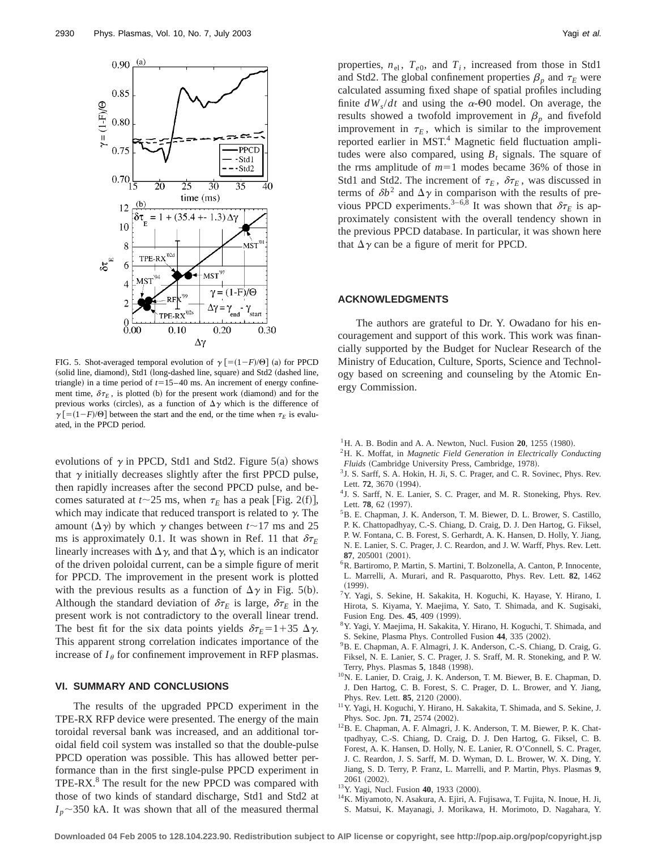

FIG. 5. Shot-averaged temporal evolution of  $\gamma$   $\lceil = (1 - F)/\Theta \rceil$  (a) for PPCD (solid line, diamond), Std1 (long-dashed line, square) and Std2 (dashed line, triangle) in a time period of  $t=15-40$  ms. An increment of energy confinement time,  $\delta \tau_E$ , is plotted (b) for the present work (diamond) and for the previous works (circles), as a function of  $\Delta \gamma$  which is the difference of  $\gamma$  [=(1-*F*)/O] between the start and the end, or the time when  $\tau$ <sub>*E*</sub> is evaluated, in the PPCD period.

evolutions of  $\gamma$  in PPCD, Std1 and Std2. Figure 5(a) shows that  $\gamma$  initially decreases slightly after the first PPCD pulse, then rapidly increases after the second PPCD pulse, and becomes saturated at  $t \sim 25$  ms, when  $\tau_E$  has a peak [Fig. 2(f)], which may indicate that reduced transport is related to  $\gamma$ . The amount  $(\Delta \gamma)$  by which  $\gamma$  changes between  $t \sim 17$  ms and 25 ms is approximately 0.1. It was shown in Ref. 11 that  $\delta \tau_E$ linearly increases with  $\Delta \gamma$ , and that  $\Delta \gamma$ , which is an indicator of the driven poloidal current, can be a simple figure of merit for PPCD. The improvement in the present work is plotted with the previous results as a function of  $\Delta \gamma$  in Fig. 5(b). Although the standard deviation of  $\delta \tau_E$  is large,  $\delta \tau_E$  in the present work is not contradictory to the overall linear trend. The best fit for the six data points yields  $\delta \tau_E = 1 + 35 \Delta \gamma$ . This apparent strong correlation indicates importance of the increase of  $I_{\theta}$  for confinement improvement in RFP plasmas.

#### **VI. SUMMARY AND CONCLUSIONS**

The results of the upgraded PPCD experiment in the TPE-RX RFP device were presented. The energy of the main toroidal reversal bank was increased, and an additional toroidal field coil system was installed so that the double-pulse PPCD operation was possible. This has allowed better performance than in the first single-pulse PPCD experiment in TPE-RX.<sup>8</sup> The result for the new PPCD was compared with those of two kinds of standard discharge, Std1 and Std2 at  $I_p \sim 350$  kA. It was shown that all of the measured thermal properties,  $n_{el}$ ,  $T_{e0}$ , and  $T_i$ , increased from those in Std1 and Std2. The global confinement properties  $\beta_p$  and  $\tau_E$  were calculated assuming fixed shape of spatial profiles including finite  $dW_s/dt$  and using the  $\alpha$ - $\Theta$ 0 model. On average, the results showed a twofold improvement in  $\beta_p$  and fivefold improvement in  $\tau_E$ , which is similar to the improvement reported earlier in MST.<sup>4</sup> Magnetic field fluctuation amplitudes were also compared, using  $B_t$  signals. The square of the rms amplitude of  $m=1$  modes became 36% of those in Std1 and Std2. The increment of  $\tau_E$ ,  $\delta \tau_E$ , was discussed in terms of  $\delta b^2$  and  $\Delta \gamma$  in comparison with the results of previous PPCD experiments.<sup>3–6,8</sup> It was shown that  $\delta \tau_E$  is approximately consistent with the overall tendency shown in the previous PPCD database. In particular, it was shown here that  $\Delta \gamma$  can be a figure of merit for PPCD.

## **ACKNOWLEDGMENTS**

The authors are grateful to Dr. Y. Owadano for his encouragement and support of this work. This work was financially supported by the Budget for Nuclear Research of the Ministry of Education, Culture, Sports, Science and Technology based on screening and counseling by the Atomic Energy Commission.

- <sup>1</sup>H. A. B. Bodin and A. A. Newton, Nucl. Fusion **20**, 1255 (1980).
- 2H. K. Moffat, in *Magnetic Field Generation in Electrically Conducting Fluids* (Cambridge University Press, Cambridge, 1978).
- <sup>3</sup> J. S. Sarff, S. A. Hokin, H. Ji, S. C. Prager, and C. R. Sovinec, Phys. Rev. Lett. 72, 3670 (1994).
- 4J. S. Sarff, N. E. Lanier, S. C. Prager, and M. R. Stoneking, Phys. Rev. Lett. 78, 62 (1997).
- 5B. E. Chapman, J. K. Anderson, T. M. Biewer, D. L. Brower, S. Castillo, P. K. Chattopadhyay, C.-S. Chiang, D. Craig, D. J. Den Hartog, G. Fiksel,
- P. W. Fontana, C. B. Forest, S. Gerhardt, A. K. Hansen, D. Holly, Y. Jiang,
- N. E. Lanier, S. C. Prager, J. C. Reardon, and J. W. Warff, Phys. Rev. Lett. **87**, 205001 (2001).
- 6R. Bartiromo, P. Martin, S. Martini, T. Bolzonella, A. Canton, P. Innocente, L. Marrelli, A. Murari, and R. Pasquarotto, Phys. Rev. Lett. **82**, 1462  $(1999)$ .
- 7Y. Yagi, S. Sekine, H. Sakakita, H. Koguchi, K. Hayase, Y. Hirano, I. Hirota, S. Kiyama, Y. Maejima, Y. Sato, T. Shimada, and K. Sugisaki, Fusion Eng. Des. 45, 409 (1999).
- 8Y. Yagi, Y. Maejima, H. Sakakita, Y. Hirano, H. Koguchi, T. Shimada, and S. Sekine, Plasma Phys. Controlled Fusion 44, 335 (2002).
- 9B. E. Chapman, A. F. Almagri, J. K. Anderson, C.-S. Chiang, D. Craig, G. Fiksel, N. E. Lanier, S. C. Prager, J. S. Sraff, M. R. Stoneking, and P. W. Terry, Phys. Plasmas 5, 1848 (1998).
- 10N. E. Lanier, D. Craig, J. K. Anderson, T. M. Biewer, B. E. Chapman, D. J. Den Hartog, C. B. Forest, S. C. Prager, D. L. Brower, and Y. Jiang, Phys. Rev. Lett. **85**, 2120 (2000).
- 11Y. Yagi, H. Koguchi, Y. Hirano, H. Sakakita, T. Shimada, and S. Sekine, J. Phys. Soc. Jpn. **71**, 2574 (2002).
- 12B. E. Chapman, A. F. Almagri, J. K. Anderson, T. M. Biewer, P. K. Chattpadhyay, C.-S. Chiang, D. Craig, D. J. Den Hartog, G. Fiksel, C. B. Forest, A. K. Hansen, D. Holly, N. E. Lanier, R. O'Connell, S. C. Prager, J. C. Reardon, J. S. Sarff, M. D. Wyman, D. L. Brower, W. X. Ding, Y. Jiang, S. D. Terry, P. Franz, L. Marrelli, and P. Martin, Phys. Plasmas **9**, 2061 (2002).
- <sup>13</sup>Y. Yagi, Nucl. Fusion **40**, 1933 (2000).
- 14K. Miyamoto, N. Asakura, A. Ejiri, A. Fujisawa, T. Fujita, N. Inoue, H. Ji,
- S. Matsui, K. Mayanagi, J. Morikawa, H. Morimoto, D. Nagahara, Y.